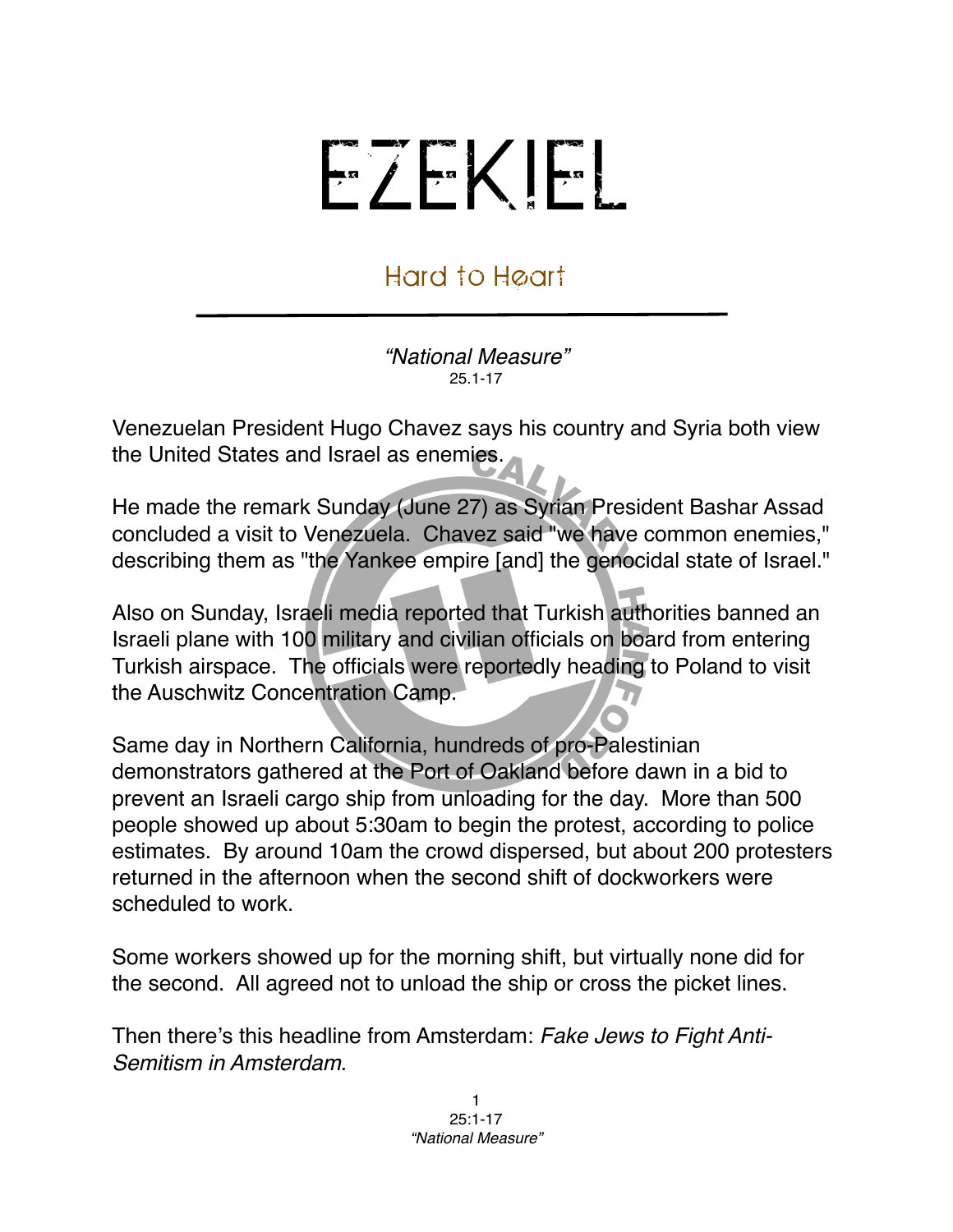## EZEKIEL

## Hard to Heart

*"National Measure"* 25.1-17

Venezuelan President Hugo Chavez says his country and Syria both view the United States and Israel as enemies.

He made the remark Sunday (June 27) as Syrian President Bashar Assad concluded a visit to Venezuela. Chavez said "we have common enemies," describing them as "the Yankee empire [and] the genocidal state of Israel."

Also on Sunday, Israeli media reported that Turkish authorities banned an Israeli plane with 100 military and civilian officials on board from entering Turkish airspace. The officials were reportedly heading to Poland to visit the Auschwitz Concentration Camp.

Same day in Northern California, hundreds of pro-Palestinian demonstrators gathered at the Port of Oakland before dawn in a bid to prevent an Israeli cargo ship from unloading for the day. More than 500 people showed up about 5:30am to begin the protest, according to police estimates. By around 10am the crowd dispersed, but about 200 protesters returned in the afternoon when the second shift of dockworkers were scheduled to work.

Some workers showed up for the morning shift, but virtually none did for the second. All agreed not to unload the ship or cross the picket lines.

Then there's this headline from Amsterdam: *Fake Jews to Fight Anti-Semitism in Amsterdam*.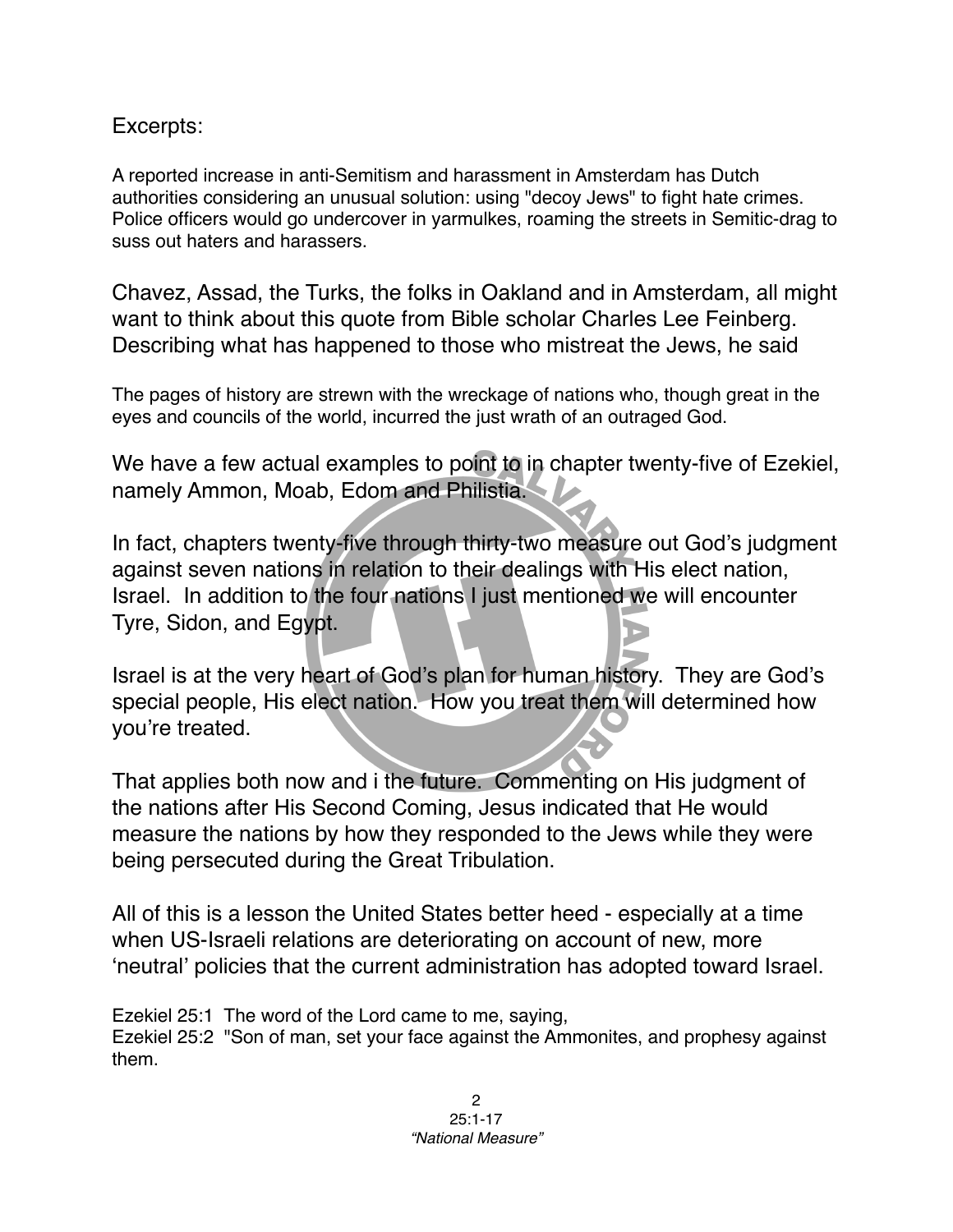## Excerpts:

A reported increase in anti-Semitism and harassment in Amsterdam has Dutch authorities considering an unusual solution: using "decoy Jews" to fight hate crimes. Police officers would go undercover in yarmulkes, roaming the streets in Semitic-drag to suss out haters and harassers.

Chavez, Assad, the Turks, the folks in Oakland and in Amsterdam, all might want to think about this quote from Bible scholar Charles Lee Feinberg. Describing what has happened to those who mistreat the Jews, he said

The pages of history are strewn with the wreckage of nations who, though great in the eyes and councils of the world, incurred the just wrath of an outraged God.

We have a few actual examples to point to in chapter twenty-five of Ezekiel, namely Ammon, Moab, Edom and Philistia.

In fact, chapters twenty-five through thirty-two measure out God's judgment against seven nations in relation to their dealings with His elect nation, Israel. In addition to the four nations I just mentioned we will encounter Tyre, Sidon, and Egypt.

Israel is at the very heart of God's plan for human history. They are God's special people, His elect nation. How you treat them will determined how you're treated.

That applies both now and i the future. Commenting on His judgment of the nations after His Second Coming, Jesus indicated that He would measure the nations by how they responded to the Jews while they were being persecuted during the Great Tribulation.

All of this is a lesson the United States better heed - especially at a time when US-Israeli relations are deteriorating on account of new, more ʻneutral' policies that the current administration has adopted toward Israel.

Ezekiel 25:1 The word of the Lord came to me, saying,

Ezekiel 25:2 "Son of man, set your face against the Ammonites, and prophesy against them.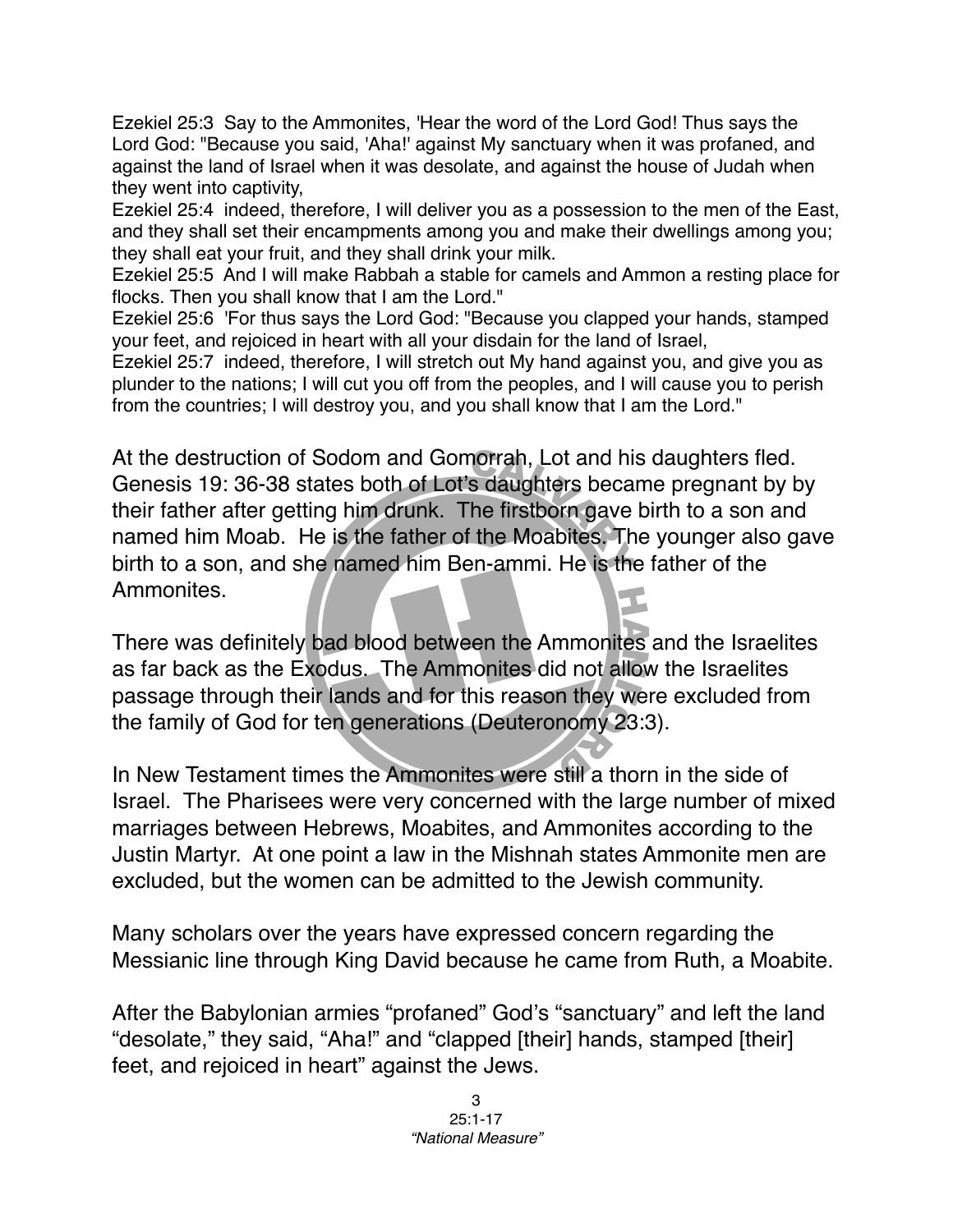Ezekiel 25:3 Say to the Ammonites, 'Hear the word of the Lord God! Thus says the Lord God: "Because you said, 'Aha!' against My sanctuary when it was profaned, and against the land of Israel when it was desolate, and against the house of Judah when they went into captivity,

Ezekiel 25:4 indeed, therefore, I will deliver you as a possession to the men of the East, and they shall set their encampments among you and make their dwellings among you; they shall eat your fruit, and they shall drink your milk.

Ezekiel 25:5 And I will make Rabbah a stable for camels and Ammon a resting place for flocks. Then you shall know that I am the Lord."

Ezekiel 25:6 'For thus says the Lord God: "Because you clapped your hands, stamped your feet, and rejoiced in heart with all your disdain for the land of Israel,

Ezekiel 25:7 indeed, therefore, I will stretch out My hand against you, and give you as plunder to the nations; I will cut you off from the peoples, and I will cause you to perish from the countries; I will destroy you, and you shall know that I am the Lord."

At the destruction of Sodom and Gomorrah, Lot and his daughters fled. Genesis 19: 36-38 states both of Lot's daughters became pregnant by by their father after getting him drunk. The firstborn gave birth to a son and named him Moab. He is the father of the Moabites. The younger also gave birth to a son, and she named him Ben-ammi. He is the father of the Ammonites.

There was definitely bad blood between the Ammonites and the Israelites as far back as the Exodus. The Ammonites did not allow the Israelites passage through their lands and for this reason they were excluded from the family of God for ten generations (Deuteronomy 23:3).

In New Testament times the Ammonites were still a thorn in the side of Israel. The Pharisees were very concerned with the large number of mixed marriages between Hebrews, Moabites, and Ammonites according to the Justin Martyr. At one point a law in the Mishnah states Ammonite men are excluded, but the women can be admitted to the Jewish community.

Many scholars over the years have expressed concern regarding the Messianic line through King David because he came from Ruth, a Moabite.

After the Babylonian armies "profaned" God's "sanctuary" and left the land "desolate," they said, "Aha!" and "clapped [their] hands, stamped [their] feet, and rejoiced in heart" against the Jews.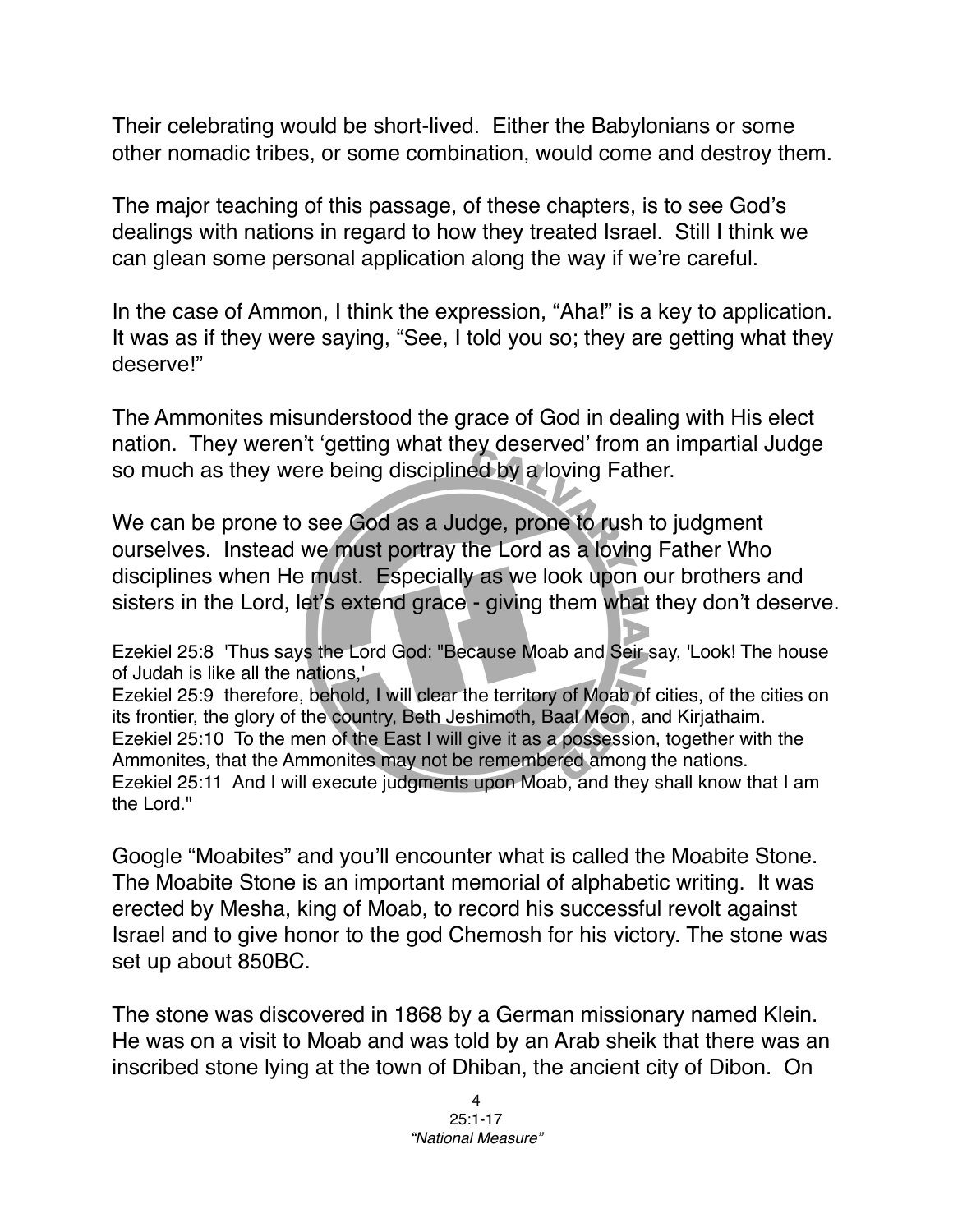Their celebrating would be short-lived. Either the Babylonians or some other nomadic tribes, or some combination, would come and destroy them.

The major teaching of this passage, of these chapters, is to see God's dealings with nations in regard to how they treated Israel. Still I think we can glean some personal application along the way if we're careful.

In the case of Ammon, I think the expression, "Aha!" is a key to application. It was as if they were saying, "See, I told you so; they are getting what they deserve!"

The Ammonites misunderstood the grace of God in dealing with His elect nation. They weren't ʻgetting what they deserved' from an impartial Judge so much as they were being disciplined by a loving Father.

We can be prone to see God as a Judge, prone to rush to judgment ourselves. Instead we must portray the Lord as a loving Father Who disciplines when He must. Especially as we look upon our brothers and sisters in the Lord, let's extend grace - giving them what they don't deserve.

Ezekiel 25:8 'Thus says the Lord God: "Because Moab and Seir say, 'Look! The house of Judah is like all the nations,'

Ezekiel 25:9 therefore, behold, I will clear the territory of Moab of cities, of the cities on its frontier, the glory of the country, Beth Jeshimoth, Baal Meon, and Kirjathaim. Ezekiel 25:10 To the men of the East I will give it as a possession, together with the Ammonites, that the Ammonites may not be remembered among the nations. Ezekiel 25:11 And I will execute judgments upon Moab, and they shall know that I am the Lord."

Google "Moabites" and you'll encounter what is called the Moabite Stone. The Moabite Stone is an important memorial of alphabetic writing. It was erected by Mesha, king of Moab, to record his successful revolt against Israel and to give honor to the god Chemosh for his victory. The stone was set up about 850BC.

The stone was discovered in 1868 by a German missionary named Klein. He was on a visit to Moab and was told by an Arab sheik that there was an inscribed stone lying at the town of Dhiban, the ancient city of Dibon. On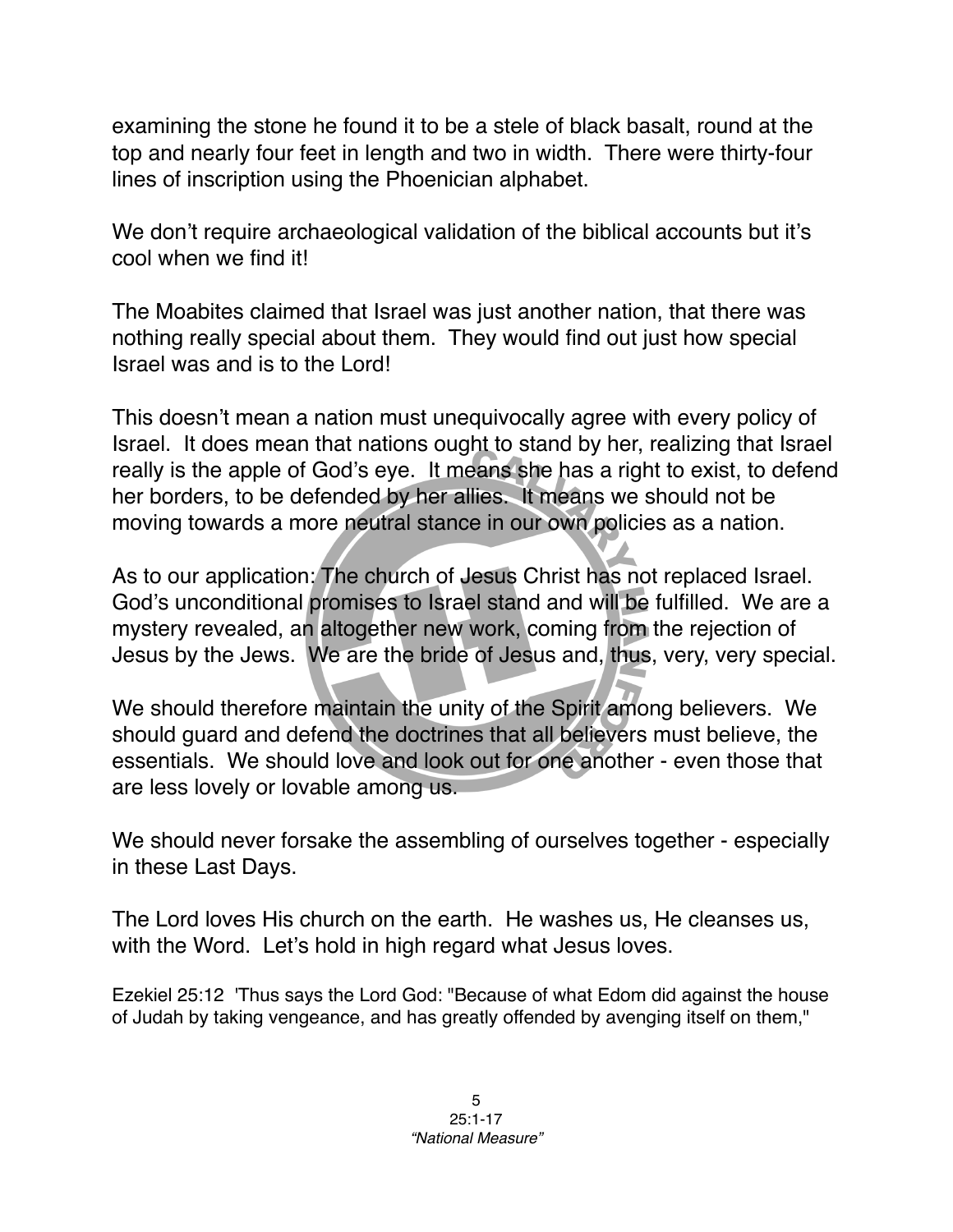examining the stone he found it to be a stele of black basalt, round at the top and nearly four feet in length and two in width. There were thirty-four lines of inscription using the Phoenician alphabet.

We don't require archaeological validation of the biblical accounts but it's cool when we find it!

The Moabites claimed that Israel was just another nation, that there was nothing really special about them. They would find out just how special Israel was and is to the Lord!

This doesn't mean a nation must unequivocally agree with every policy of Israel. It does mean that nations ought to stand by her, realizing that Israel really is the apple of God's eye. It means she has a right to exist, to defend her borders, to be defended by her allies. It means we should not be moving towards a more neutral stance in our own policies as a nation.

As to our application: The church of Jesus Christ has not replaced Israel. God's unconditional promises to Israel stand and will be fulfilled. We are a mystery revealed, an altogether new work, coming from the rejection of Jesus by the Jews. We are the bride of Jesus and, thus, very, very special.

We should therefore maintain the unity of the Spirit among believers. We should guard and defend the doctrines that all believers must believe, the essentials. We should love and look out for one another - even those that are less lovely or lovable among us.

We should never forsake the assembling of ourselves together - especially in these Last Days.

The Lord loves His church on the earth. He washes us, He cleanses us, with the Word. Let's hold in high regard what Jesus loves.

Ezekiel 25:12 'Thus says the Lord God: "Because of what Edom did against the house of Judah by taking vengeance, and has greatly offended by avenging itself on them,"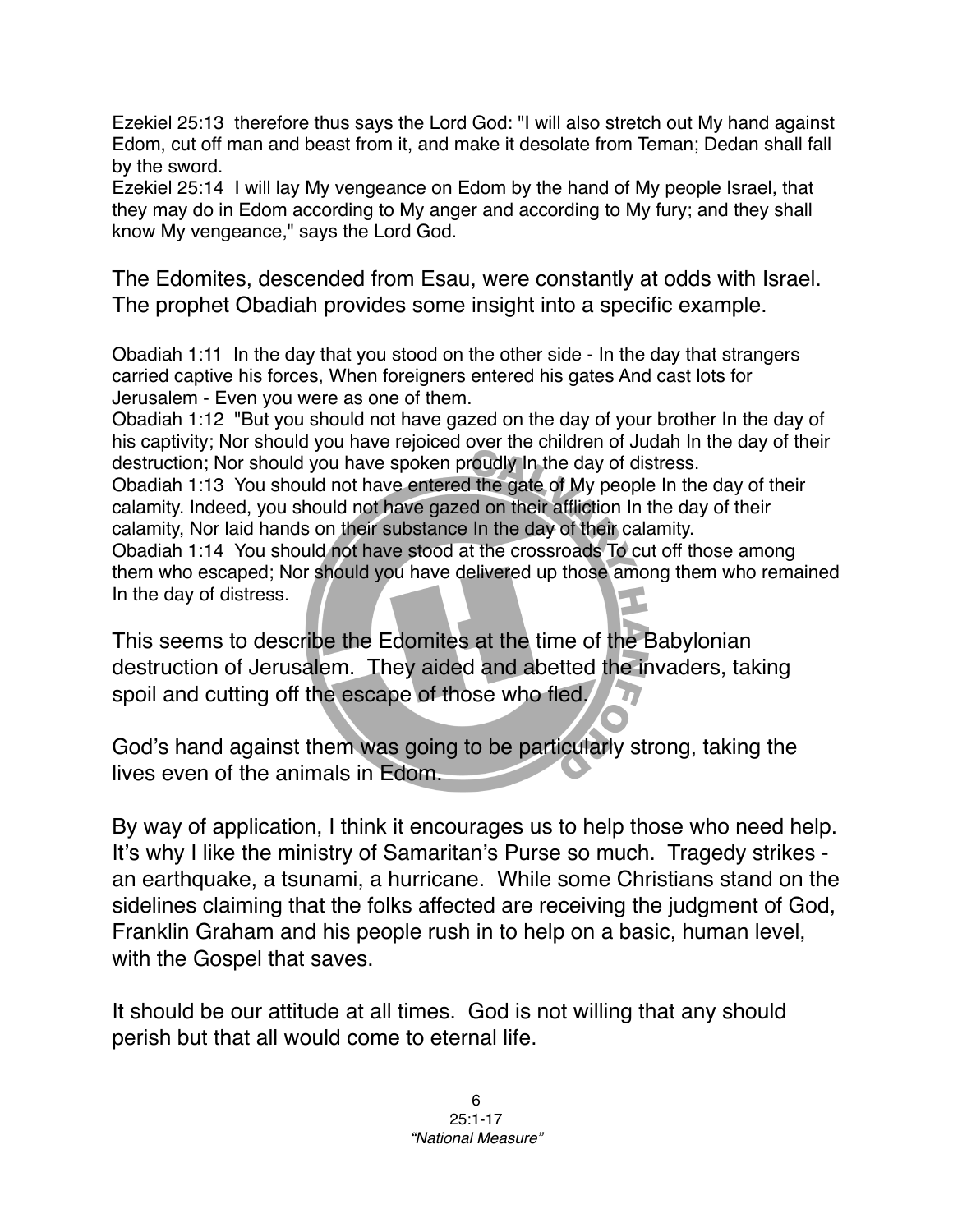Ezekiel 25:13 therefore thus says the Lord God: "I will also stretch out My hand against Edom, cut off man and beast from it, and make it desolate from Teman; Dedan shall fall by the sword.

Ezekiel 25:14 I will lay My vengeance on Edom by the hand of My people Israel, that they may do in Edom according to My anger and according to My fury; and they shall know My vengeance," says the Lord God.

The Edomites, descended from Esau, were constantly at odds with Israel. The prophet Obadiah provides some insight into a specific example.

Obadiah 1:11 In the day that you stood on the other side - In the day that strangers carried captive his forces, When foreigners entered his gates And cast lots for Jerusalem - Even you were as one of them.

Obadiah 1:12 "But you should not have gazed on the day of your brother In the day of his captivity; Nor should you have rejoiced over the children of Judah In the day of their destruction; Nor should you have spoken proudly In the day of distress.

Obadiah 1:13 You should not have entered the gate of My people In the day of their calamity. Indeed, you should not have gazed on their affliction In the day of their calamity, Nor laid hands on their substance In the day of their calamity.

Obadiah 1:14 You should not have stood at the crossroads To cut off those among them who escaped; Nor should you have delivered up those among them who remained In the day of distress.

This seems to describe the Edomites at the time of the Babylonian destruction of Jerusalem. They aided and abetted the invaders, taking spoil and cutting off the escape of those who fled.

God's hand against them was going to be particularly strong, taking the lives even of the animals in Edom.

By way of application, I think it encourages us to help those who need help. It's why I like the ministry of Samaritan's Purse so much. Tragedy strikes an earthquake, a tsunami, a hurricane. While some Christians stand on the sidelines claiming that the folks affected are receiving the judgment of God, Franklin Graham and his people rush in to help on a basic, human level, with the Gospel that saves.

It should be our attitude at all times. God is not willing that any should perish but that all would come to eternal life.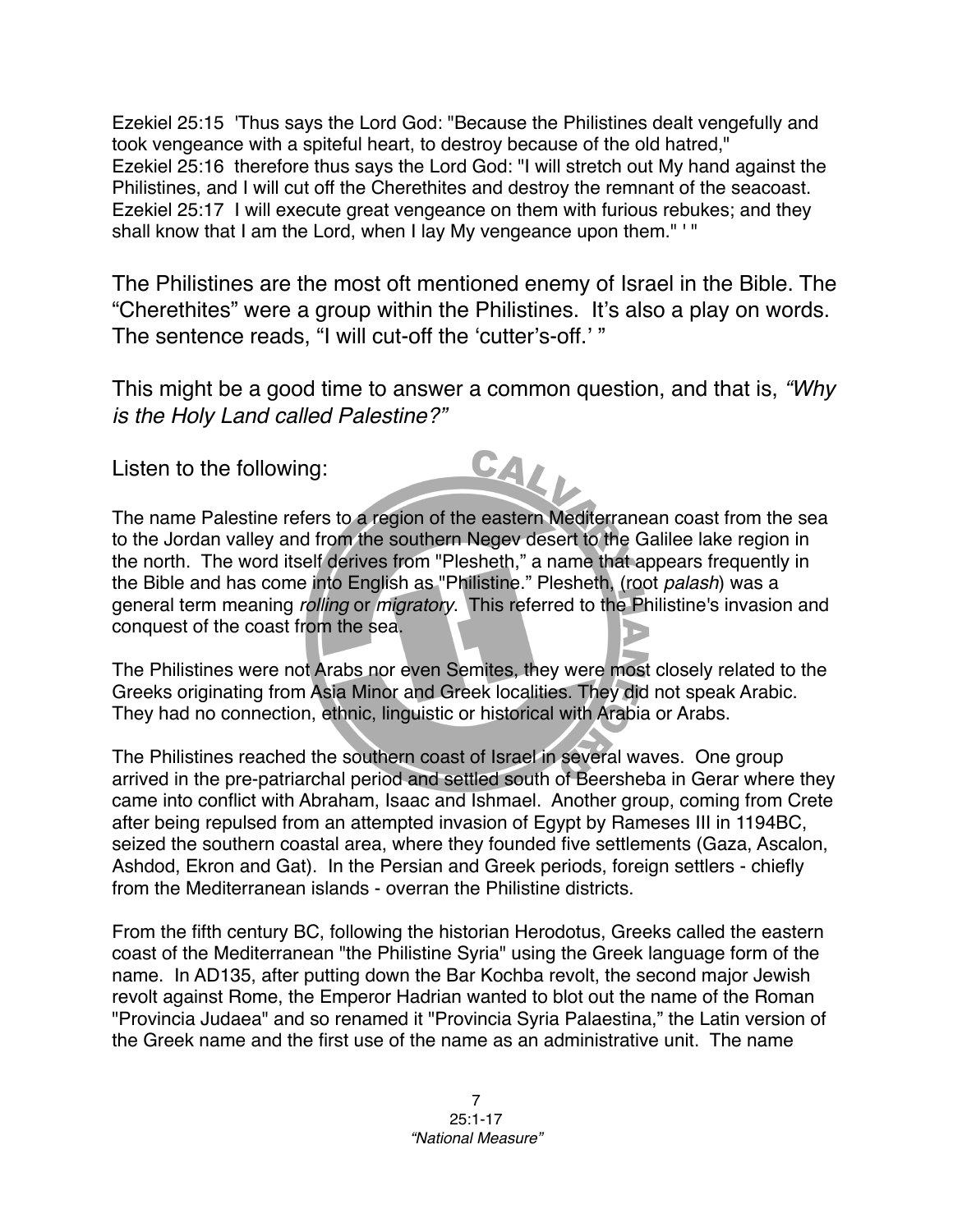Ezekiel 25:15 'Thus says the Lord God: "Because the Philistines dealt vengefully and took vengeance with a spiteful heart, to destroy because of the old hatred," Ezekiel 25:16 therefore thus says the Lord God: "I will stretch out My hand against the Philistines, and I will cut off the Cherethites and destroy the remnant of the seacoast. Ezekiel 25:17 I will execute great vengeance on them with furious rebukes; and they shall know that I am the Lord, when I lay My vengeance upon them." ' "

The Philistines are the most oft mentioned enemy of Israel in the Bible. The "Cherethites" were a group within the Philistines. It's also a play on words. The sentence reads, "I will cut-off the ʻcutter's-off.' "

This might be a good time to answer a common question, and that is, *"Why is the Holy Land called Palestine?"*

CALI

Listen to the following:

The name Palestine refers to a region of the eastern Mediterranean coast from the sea to the Jordan valley and from the southern Negev desert to the Galilee lake region in the north. The word itself derives from "Plesheth," a name that appears frequently in the Bible and has come into English as "Philistine." Plesheth, (root *palash*) was a general term meaning *rolling* or *migratory*. This referred to the Philistine's invasion and conquest of the coast from the sea.

The Philistines were not Arabs nor even Semites, they were most closely related to the Greeks originating from Asia Minor and Greek localities. They did not speak Arabic. They had no connection, ethnic, linguistic or historical with Arabia or Arabs.

The Philistines reached the southern coast of Israel in several waves. One group arrived in the pre-patriarchal period and settled south of Beersheba in Gerar where they came into conflict with Abraham, Isaac and Ishmael. Another group, coming from Crete after being repulsed from an attempted invasion of Egypt by Rameses III in 1194BC, seized the southern coastal area, where they founded five settlements (Gaza, Ascalon, Ashdod, Ekron and Gat). In the Persian and Greek periods, foreign settlers - chiefly from the Mediterranean islands - overran the Philistine districts.

From the fifth century BC, following the historian Herodotus, Greeks called the eastern coast of the Mediterranean "the Philistine Syria" using the Greek language form of the name. In AD135, after putting down the Bar Kochba revolt, the second major Jewish revolt against Rome, the Emperor Hadrian wanted to blot out the name of the Roman "Provincia Judaea" and so renamed it "Provincia Syria Palaestina," the Latin version of the Greek name and the first use of the name as an administrative unit. The name